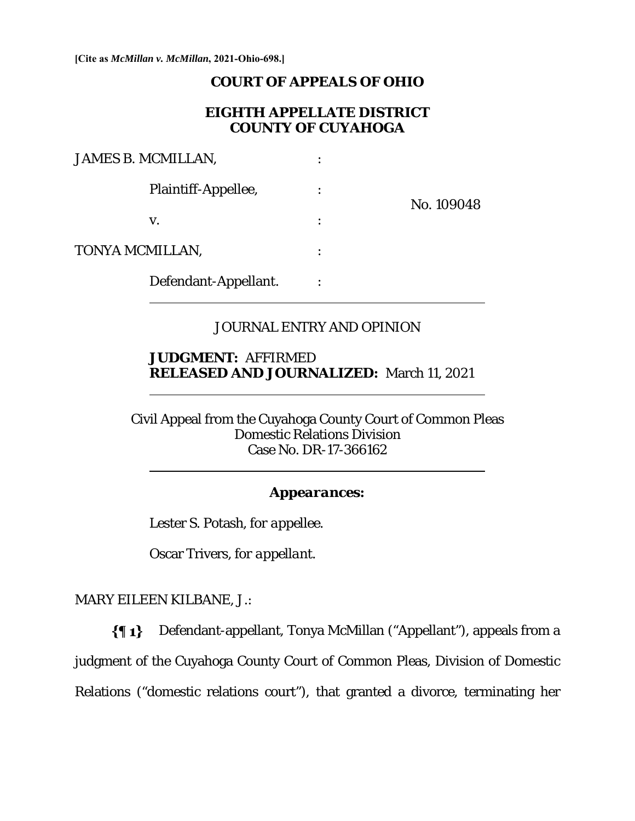**[Cite as** *McMillan v. McMillan***, 2021-Ohio-698.]**

#### **COURT OF APPEALS OF OHIO**

## **EIGHTH APPELLATE DISTRICT COUNTY OF CUYAHOGA**

| JAMES B. MCMILLAN, |                      |            |
|--------------------|----------------------|------------|
|                    | Plaintiff-Appellee,  | No. 109048 |
|                    | V.                   |            |
| TONYA MCMILLAN,    |                      |            |
|                    | Defendant-Appellant. |            |

# JOURNAL ENTRY AND OPINION

# **JUDGMENT:** AFFIRMED **RELEASED AND JOURNALIZED:** March 11, 2021

Civil Appeal from the Cuyahoga County Court of Common Pleas Domestic Relations Division Case No. DR-17-366162

#### *Appearances:*

Lester S. Potash, *for appellee*.

Oscar Trivers, *for appellant*.

MARY EILEEN KILBANE, J.:

l

 $\overline{a}$ 

Defendant-appellant, Tonya McMillan ("Appellant"), appeals from a  $\{ \P 1 \}$ judgment of the Cuyahoga County Court of Common Pleas, Division of Domestic Relations ("domestic relations court"), that granted a divorce, terminating her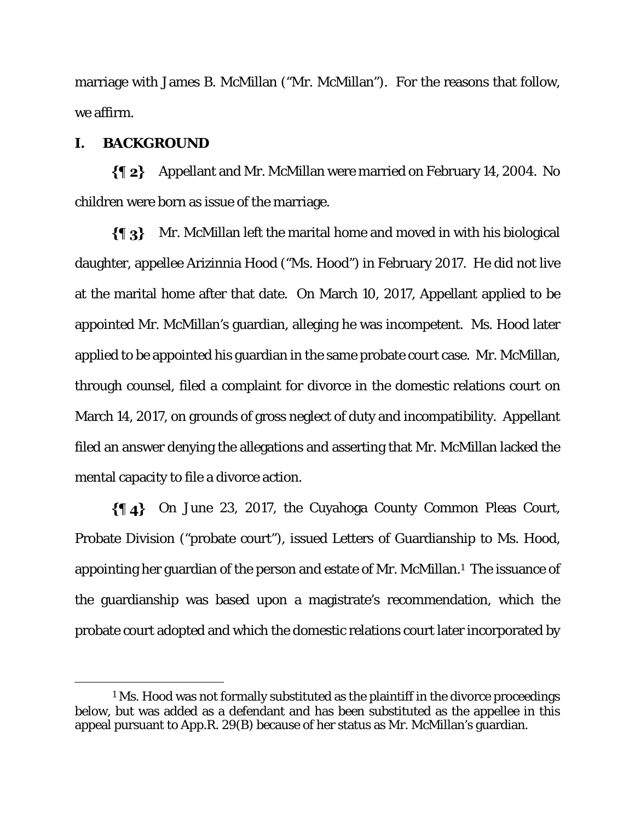marriage with James B. McMillan ("Mr. McMillan"). For the reasons that follow, we affirm.

# **I. BACKGROUND**

Appellant and Mr. McMillan were married on February 14, 2004. No children were born as issue of the marriage.

 $\{\P_3\}$  Mr. McMillan left the marital home and moved in with his biological daughter, appellee Arizinnia Hood ("Ms. Hood") in February 2017. He did not live at the marital home after that date. On March 10, 2017, Appellant applied to be appointed Mr. McMillan's guardian, alleging he was incompetent. Ms. Hood later applied to be appointed his guardian in the same probate court case. Mr. McMillan, through counsel, filed a complaint for divorce in the domestic relations court on March 14, 2017, on grounds of gross neglect of duty and incompatibility. Appellant filed an answer denying the allegations and asserting that Mr. McMillan lacked the mental capacity to file a divorce action.

On June 23, 2017, the Cuyahoga County Common Pleas Court, Probate Division ("probate court"), issued Letters of Guardianship to Ms. Hood, appointing her guardian of the person and estate of Mr. McMillan.1 The issuance of the guardianship was based upon a magistrate's recommendation, which the probate court adopted and which the domestic relations court later incorporated by

<sup>&</sup>lt;sup>1</sup> Ms. Hood was not formally substituted as the plaintiff in the divorce proceedings below, but was added as a defendant and has been substituted as the appellee in this appeal pursuant to App.R. 29(B) because of her status as Mr. McMillan's guardian.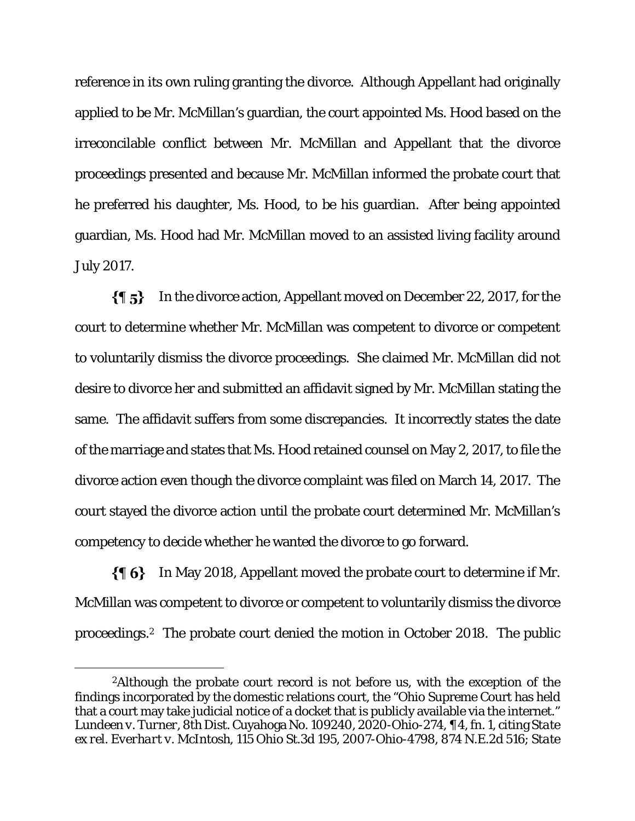reference in its own ruling granting the divorce. Although Appellant had originally applied to be Mr. McMillan's guardian, the court appointed Ms. Hood based on the irreconcilable conflict between Mr. McMillan and Appellant that the divorce proceedings presented and because Mr. McMillan informed the probate court that he preferred his daughter, Ms. Hood, to be his guardian. After being appointed guardian, Ms. Hood had Mr. McMillan moved to an assisted living facility around July 2017.

 $\{95\}$ In the divorce action, Appellant moved on December 22, 2017, for the court to determine whether Mr. McMillan was competent to divorce or competent to voluntarily dismiss the divorce proceedings. She claimed Mr. McMillan did not desire to divorce her and submitted an affidavit signed by Mr. McMillan stating the same. The affidavit suffers from some discrepancies. It incorrectly states the date of the marriage and states that Ms. Hood retained counsel on May 2, 2017, to file the divorce action even though the divorce complaint was filed on March 14, 2017. The court stayed the divorce action until the probate court determined Mr. McMillan's competency to decide whether he wanted the divorce to go forward.

 $\{\P_6\}$  In May 2018, Appellant moved the probate court to determine if Mr. McMillan was competent to divorce or competent to voluntarily dismiss the divorce proceedings.2 The probate court denied the motion in October 2018. The public

<sup>&</sup>lt;sup>2</sup>Although the probate court record is not before us, with the exception of the findings incorporated by the domestic relations court, the "Ohio Supreme Court has held that a court may take judicial notice of a docket that is publicly available via the internet." *Lundeen v. Turner*, 8th Dist. Cuyahoga No. 109240, 2020-Ohio-274, ¶ 4, fn. 1, citing *State ex rel. Everhart v. McIntosh*, 115 Ohio St.3d 195, 2007-Ohio-4798, 874 N.E.2d 516; *State*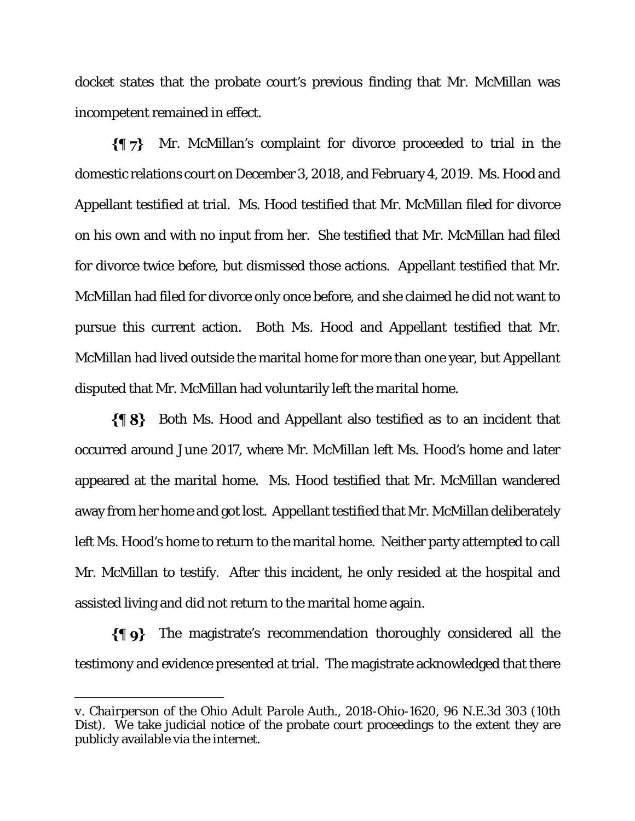docket states that the probate court's previous finding that Mr. McMillan was incompetent remained in effect.

 $\{\P\}$  Mr. McMillan's complaint for divorce proceeded to trial in the domestic relations court on December 3, 2018, and February 4, 2019. Ms. Hood and Appellant testified at trial. Ms. Hood testified that Mr. McMillan filed for divorce on his own and with no input from her. She testified that Mr. McMillan had filed for divorce twice before, but dismissed those actions. Appellant testified that Mr. McMillan had filed for divorce only once before, and she claimed he did not want to pursue this current action. Both Ms. Hood and Appellant testified that Mr. McMillan had lived outside the marital home for more than one year, but Appellant disputed that Mr. McMillan had voluntarily left the marital home.

Both Ms. Hood and Appellant also testified as to an incident that occurred around June 2017, where Mr. McMillan left Ms. Hood's home and later appeared at the marital home. Ms. Hood testified that Mr. McMillan wandered away from her home and got lost. Appellant testified that Mr. McMillan deliberately left Ms. Hood's home to return to the marital home. Neither party attempted to call Mr. McMillan to testify. After this incident, he only resided at the hospital and assisted living and did not return to the marital home again.

 $\{\P\}$  The magistrate's recommendation thoroughly considered all the testimony and evidence presented at trial. The magistrate acknowledged that there

-

*v. Chairperson of the Ohio Adult Parole Auth.*, 2018-Ohio-1620, 96 N.E.3d 303 (10th Dist). We take judicial notice of the probate court proceedings to the extent they are publicly available via the internet.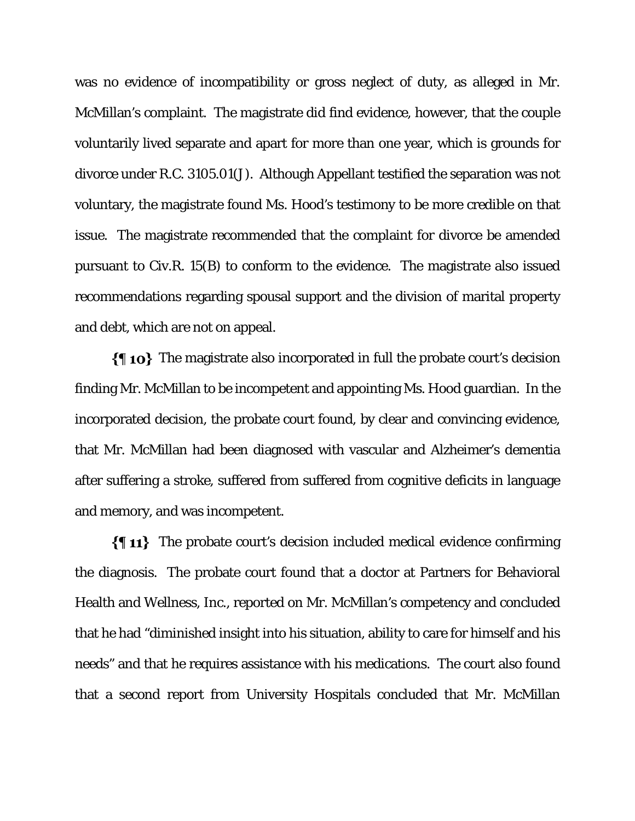was no evidence of incompatibility or gross neglect of duty, as alleged in Mr. McMillan's complaint. The magistrate did find evidence, however, that the couple voluntarily lived separate and apart for more than one year, which is grounds for divorce under R.C. 3105.01(J). Although Appellant testified the separation was not voluntary, the magistrate found Ms. Hood's testimony to be more credible on that issue. The magistrate recommended that the complaint for divorce be amended pursuant to Civ.R. 15(B) to conform to the evidence. The magistrate also issued recommendations regarding spousal support and the division of marital property and debt, which are not on appeal.

 $\{\P$  10} The magistrate also incorporated in full the probate court's decision finding Mr. McMillan to be incompetent and appointing Ms. Hood guardian. In the incorporated decision, the probate court found, by clear and convincing evidence, that Mr. McMillan had been diagnosed with vascular and Alzheimer's dementia after suffering a stroke, suffered from suffered from cognitive deficits in language and memory, and was incompetent.

 $\{\P 11\}$  The probate court's decision included medical evidence confirming the diagnosis. The probate court found that a doctor at Partners for Behavioral Health and Wellness, Inc., reported on Mr. McMillan's competency and concluded that he had "diminished insight into his situation, ability to care for himself and his needs" and that he requires assistance with his medications. The court also found that a second report from University Hospitals concluded that Mr. McMillan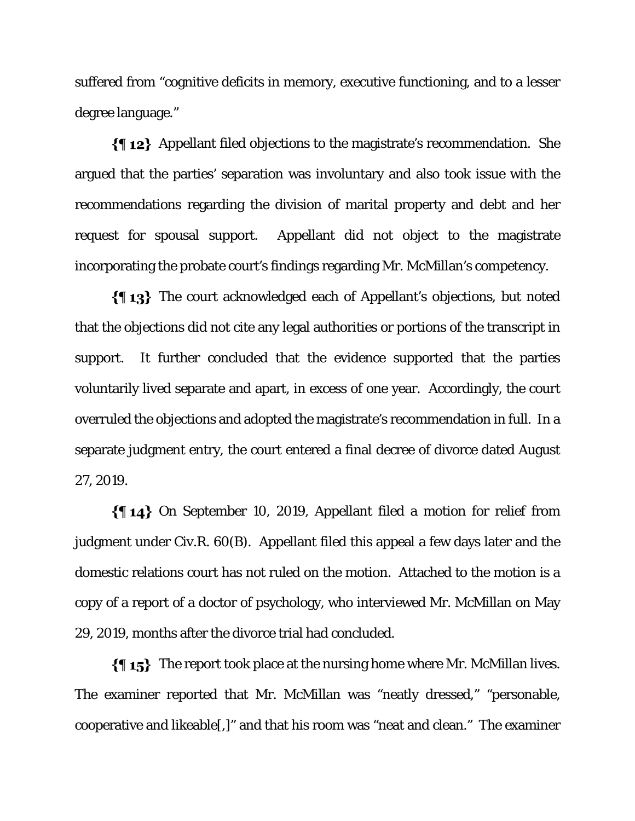suffered from "cognitive deficits in memory, executive functioning, and to a lesser degree language."

Appellant filed objections to the magistrate's recommendation. She argued that the parties' separation was involuntary and also took issue with the recommendations regarding the division of marital property and debt and her request for spousal support. Appellant did not object to the magistrate incorporating the probate court's findings regarding Mr. McMillan's competency.

The court acknowledged each of Appellant's objections, but noted that the objections did not cite any legal authorities or portions of the transcript in support. It further concluded that the evidence supported that the parties voluntarily lived separate and apart, in excess of one year. Accordingly, the court overruled the objections and adopted the magistrate's recommendation in full. In a separate judgment entry, the court entered a final decree of divorce dated August 27, 2019.

On September 10, 2019, Appellant filed a motion for relief from judgment under Civ.R. 60(B). Appellant filed this appeal a few days later and the domestic relations court has not ruled on the motion. Attached to the motion is a copy of a report of a doctor of psychology, who interviewed Mr. McMillan on May 29, 2019, months after the divorce trial had concluded.

 $\{\{\,\,\mathbf{15}\}\,\,\,\text{The report took place at the nursing home where Mr. McMillan lives.}$ The examiner reported that Mr. McMillan was "neatly dressed," "personable, cooperative and likeable[,]" and that his room was "neat and clean." The examiner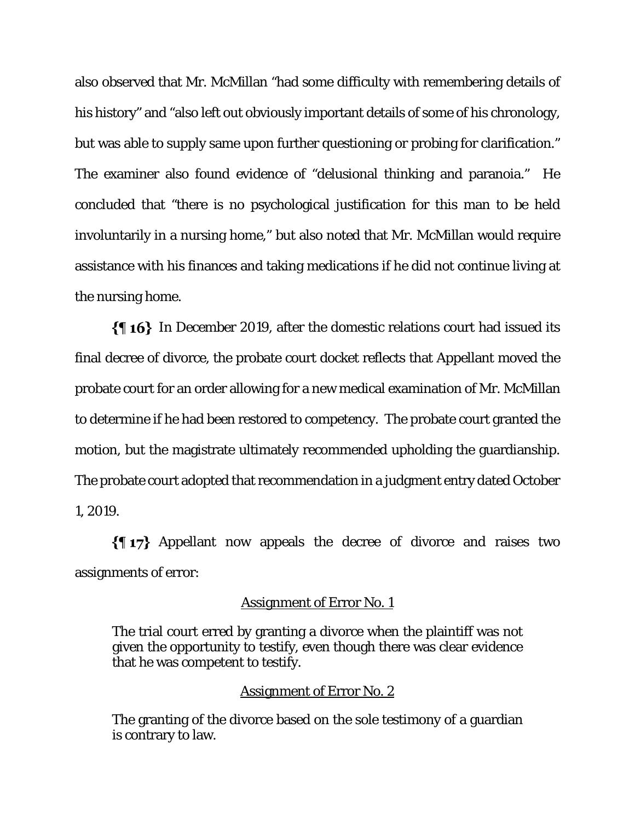also observed that Mr. McMillan "had some difficulty with remembering details of his history" and "also left out obviously important details of some of his chronology, but was able to supply same upon further questioning or probing for clarification." The examiner also found evidence of "delusional thinking and paranoia." He concluded that "there is no psychological justification for this man to be held involuntarily in a nursing home," but also noted that Mr. McMillan would require assistance with his finances and taking medications if he did not continue living at the nursing home.

In December 2019, after the domestic relations court had issued its final decree of divorce, the probate court docket reflects that Appellant moved the probate court for an order allowing for a new medical examination of Mr. McMillan to determine if he had been restored to competency. The probate court granted the motion, but the magistrate ultimately recommended upholding the guardianship. The probate court adopted that recommendation in a judgment entry dated October 1, 2019.

Appellant now appeals the decree of divorce and raises two assignments of error:

## Assignment of Error No. 1

The trial court erred by granting a divorce when the plaintiff was not given the opportunity to testify, even though there was clear evidence that he was competent to testify.

#### Assignment of Error No. 2

The granting of the divorce based on the sole testimony of a guardian is contrary to law.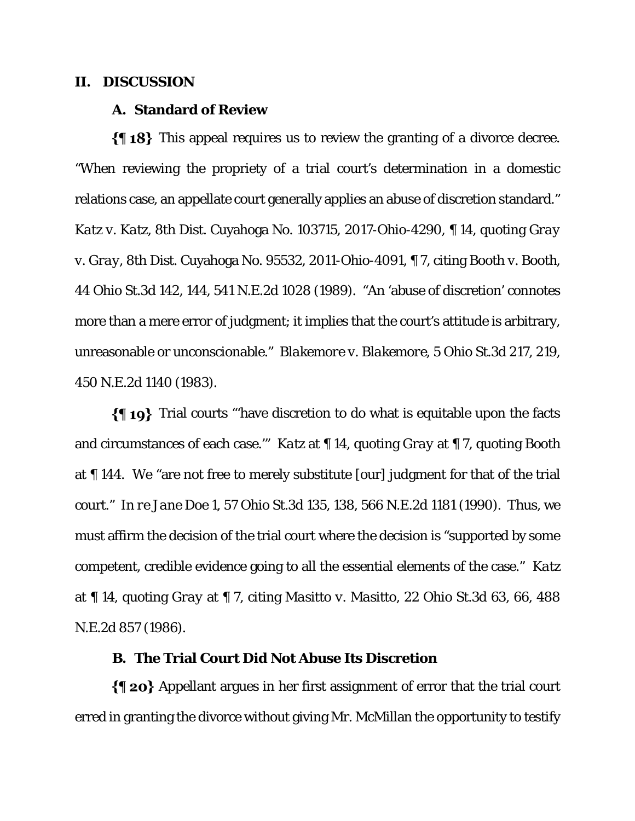## **II. DISCUSSION**

#### **A. Standard of Review**

 $\{\{\,\,\}\$  This appeal requires us to review the granting of a divorce decree. "When reviewing the propriety of a trial court's determination in a domestic relations case, an appellate court generally applies an abuse of discretion standard." *Katz v. Katz*, 8th Dist. Cuyahoga No. 103715, 2017-Ohio-4290, ¶ 14, quoting *Gray v. Gray*, 8th Dist. Cuyahoga No. 95532, 2011-Ohio-4091, ¶ 7, citing *Booth v. Booth*, 44 Ohio St.3d 142, 144, 541 N.E.2d 1028 (1989). "An 'abuse of discretion' connotes more than a mere error of judgment; it implies that the court's attitude is arbitrary, unreasonable or unconscionable." *Blakemore v. Blakemore*, 5 Ohio St.3d 217, 219, 450 N.E.2d 1140 (1983).

Trial courts "'have discretion to do what is equitable upon the facts and circumstances of each case.'" *Katz* at ¶ 14, quoting *Gray* at ¶ 7, quoting *Booth* at ¶ 144. We "are not free to merely substitute [our] judgment for that of the trial court." *In re Jane Doe 1*, 57 Ohio St.3d 135, 138, 566 N.E.2d 1181 (1990). Thus, we must affirm the decision of the trial court where the decision is "supported by some competent, credible evidence going to all the essential elements of the case." *Katz* at ¶ 14, quoting *Gray* at ¶ 7, citing *Masitto v. Masitto*, 22 Ohio St.3d 63, 66, 488 N.E.2d 857 (1986).

# **B. The Trial Court Did Not Abuse Its Discretion**

 $\{\P$  20} Appellant argues in her first assignment of error that the trial court erred in granting the divorce without giving Mr. McMillan the opportunity to testify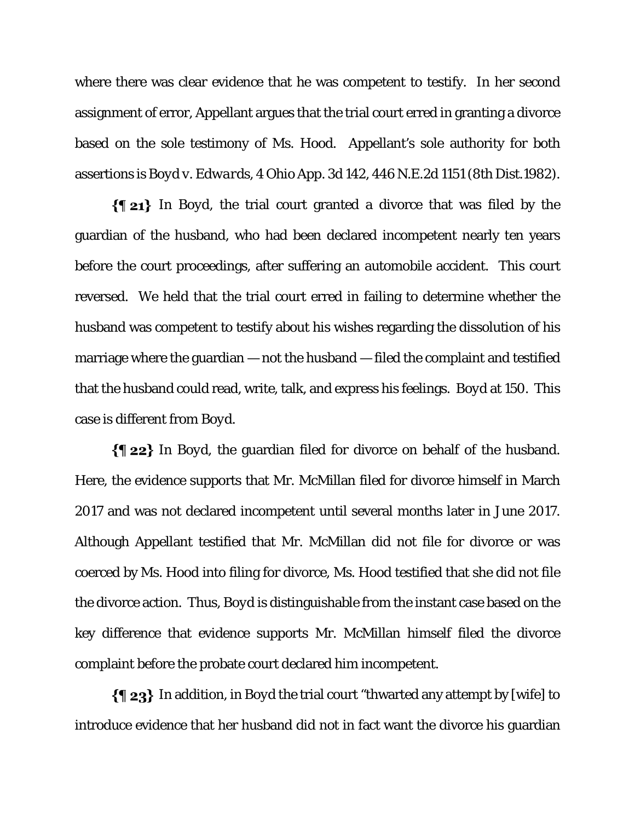where there was clear evidence that he was competent to testify. In her second assignment of error, Appellant argues that the trial court erred in granting a divorce based on the sole testimony of Ms. Hood. Appellant's sole authority for both assertions is *Boyd v. Edwards*, 4 Ohio App. 3d 142, 446 N.E.2d 1151 (8th Dist.1982).

In *Boyd*, the trial court granted a divorce that was filed by the guardian of the husband, who had been declared incompetent nearly ten years before the court proceedings, after suffering an automobile accident. This court reversed. We held that the trial court erred in failing to determine whether the husband was competent to testify about his wishes regarding the dissolution of his marriage where the guardian — not the husband — filed the complaint and testified that the husband could read, write, talk, and express his feelings. *Boyd* at 150. This case is different from *Boyd*.

In *Boyd*, the guardian filed for divorce on behalf of the husband. Here, the evidence supports that Mr. McMillan filed for divorce himself in March 2017 and was not declared incompetent until several months later in June 2017. Although Appellant testified that Mr. McMillan did not file for divorce or was coerced by Ms. Hood into filing for divorce, Ms. Hood testified that she did not file the divorce action. Thus, *Boyd* is distinguishable from the instant case based on the key difference that evidence supports Mr. McMillan himself filed the divorce complaint before the probate court declared him incompetent.

In addition, in *Boyd* the trial court "thwarted any attempt by [wife] to introduce evidence that her husband did not in fact want the divorce his guardian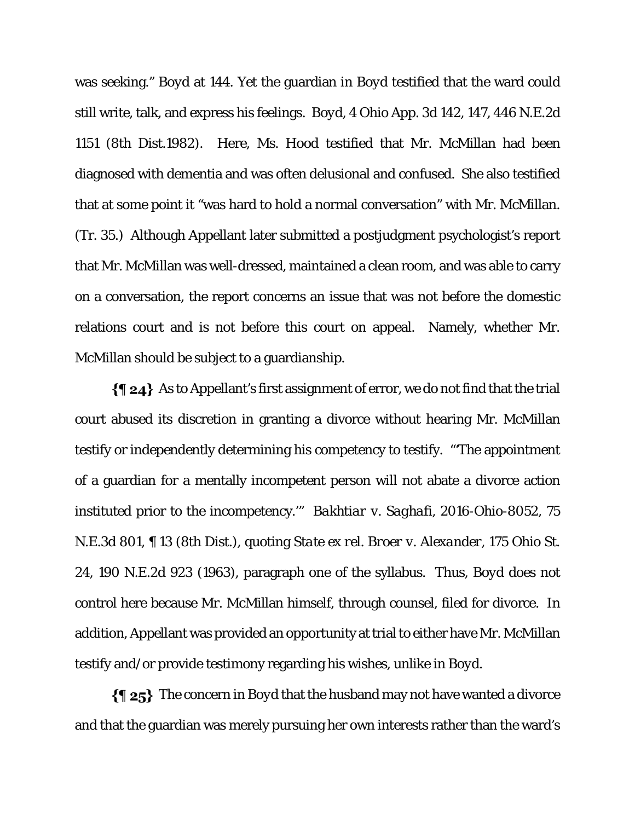was seeking." *Boyd* at 144. Yet the guardian in *Boyd* testified that the ward could still write, talk, and express his feelings. *Boyd*, 4 Ohio App. 3d 142, 147, 446 N.E.2d 1151 (8th Dist.1982). Here, Ms. Hood testified that Mr. McMillan had been diagnosed with dementia and was often delusional and confused. She also testified that at some point it "was hard to hold a normal conversation" with Mr. McMillan. (Tr. 35.) Although Appellant later submitted a postjudgment psychologist's report that Mr. McMillan was well-dressed, maintained a clean room, and was able to carry on a conversation, the report concerns an issue that was not before the domestic relations court and is not before this court on appeal. Namely, whether Mr. McMillan should be subject to a guardianship.

 $\{\P 24\}$  As to Appellant's first assignment of error, we do not find that the trial court abused its discretion in granting a divorce without hearing Mr. McMillan testify or independently determining his competency to testify. "'The appointment of a guardian for a mentally incompetent person will not abate a divorce action instituted prior to the incompetency.'" *Bakhtiar v. Saghafi*, 2016-Ohio-8052, 75 N.E.3d 801, ¶ 13 (8th Dist.), quoting *State ex rel. Broer v. Alexander*, 175 Ohio St. 24, 190 N.E.2d 923 (1963), paragraph one of the syllabus. Thus, *Boyd* does not control here because Mr. McMillan himself, through counsel, filed for divorce. In addition, Appellant was provided an opportunity at trial to either have Mr. McMillan testify and/or provide testimony regarding his wishes, unlike in *Boyd*.

The concern in *Boyd* that the husband may not have wanted a divorce and that the guardian was merely pursuing her own interests rather than the ward's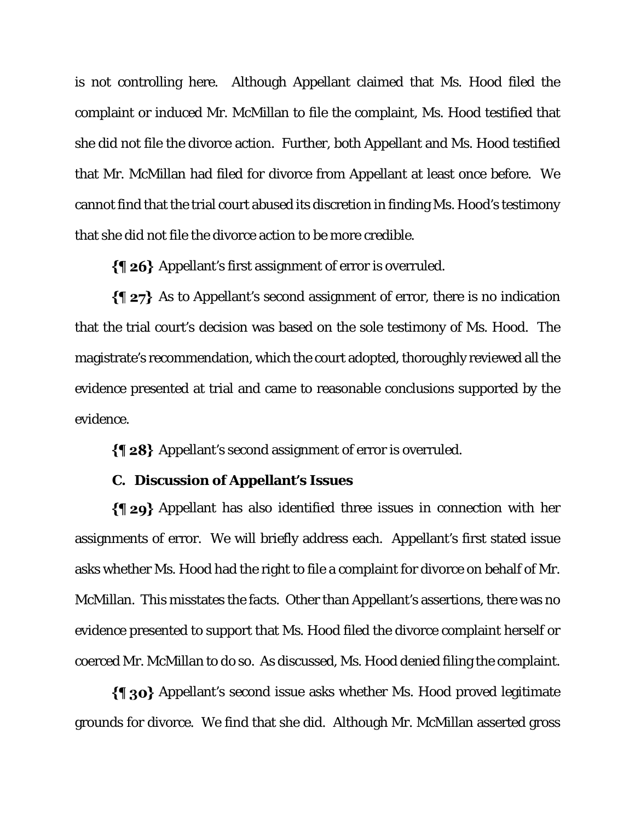is not controlling here.Although Appellant claimed that Ms. Hood filed the complaint or induced Mr. McMillan to file the complaint, Ms. Hood testified that she did not file the divorce action. Further, both Appellant and Ms. Hood testified that Mr. McMillan had filed for divorce from Appellant at least once before. We cannot find that the trial court abused its discretion in finding Ms. Hood's testimony that she did not file the divorce action to be more credible.

Appellant's first assignment of error is overruled.

 $\{\P 27\}$  As to Appellant's second assignment of error, there is no indication that the trial court's decision was based on the sole testimony of Ms. Hood. The magistrate's recommendation, which the court adopted, thoroughly reviewed all the evidence presented at trial and came to reasonable conclusions supported by the evidence.

Appellant's second assignment of error is overruled.

# **C. Discussion of Appellant's Issues**

Appellant has also identified three issues in connection with her assignments of error. We will briefly address each. Appellant's first stated issue asks whether Ms. Hood had the right to file a complaint for divorce on behalf of Mr. McMillan. This misstates the facts. Other than Appellant's assertions, there was no evidence presented to support that Ms. Hood filed the divorce complaint herself or coerced Mr. McMillan to do so. As discussed, Ms. Hood denied filing the complaint.

Appellant's second issue asks whether Ms. Hood proved legitimate grounds for divorce. We find that she did. Although Mr. McMillan asserted gross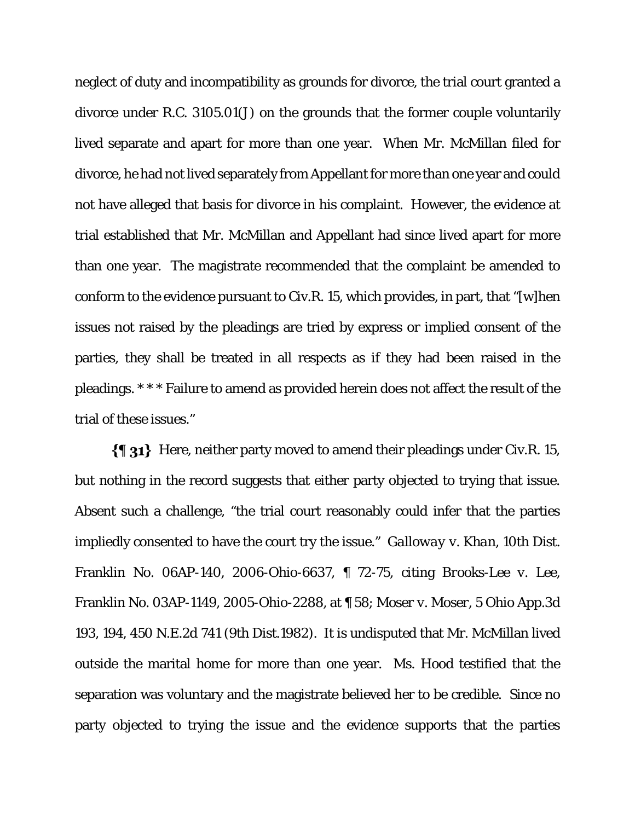neglect of duty and incompatibility as grounds for divorce, the trial court granted a divorce under R.C. 3105.01(J) on the grounds that the former couple voluntarily lived separate and apart for more than one year. When Mr. McMillan filed for divorce, he had not lived separately from Appellant for more than one year and could not have alleged that basis for divorce in his complaint. However, the evidence at trial established that Mr. McMillan and Appellant had since lived apart for more than one year. The magistrate recommended that the complaint be amended to conform to the evidence pursuant to Civ.R. 15, which provides, in part, that "[w]hen issues not raised by the pleadings are tried by express or implied consent of the parties, they shall be treated in all respects as if they had been raised in the pleadings. \* \* \* Failure to amend as provided herein does not affect the result of the trial of these issues."

 $\{\P_3\}$  Here, neither party moved to amend their pleadings under Civ.R. 15, but nothing in the record suggests that either party objected to trying that issue. Absent such a challenge, "the trial court reasonably could infer that the parties impliedly consented to have the court try the issue." *Galloway v. Khan*, 10th Dist. Franklin No. 06AP-140, 2006-Ohio-6637, ¶ 72-75, citing *Brooks-Lee v. Lee*, Franklin No. 03AP-1149, 2005-Ohio-2288, at ¶ 58; *Moser v. Moser*, 5 Ohio App.3d 193, 194, 450 N.E.2d 741 (9th Dist.1982). It is undisputed that Mr. McMillan lived outside the marital home for more than one year. Ms. Hood testified that the separation was voluntary and the magistrate believed her to be credible. Since no party objected to trying the issue and the evidence supports that the parties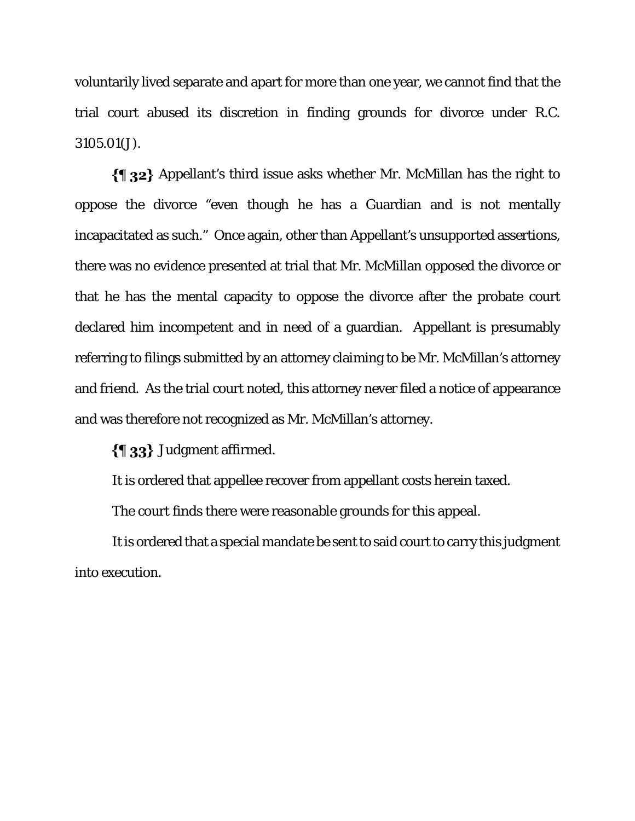voluntarily lived separate and apart for more than one year, we cannot find that the trial court abused its discretion in finding grounds for divorce under R.C. 3105.01(J).

 $\{\P$  32} Appellant's third issue asks whether Mr. McMillan has the right to oppose the divorce "even though he has a Guardian and is not mentally incapacitated as such." Once again, other than Appellant's unsupported assertions, there was no evidence presented at trial that Mr. McMillan opposed the divorce or that he has the mental capacity to oppose the divorce after the probate court declared him incompetent and in need of a guardian. Appellant is presumably referring to filings submitted by an attorney claiming to be Mr. McMillan's attorney and friend. As the trial court noted, this attorney never filed a notice of appearance and was therefore not recognized as Mr. McMillan's attorney.

 $\{\{\,\}\$  33 Judgment affirmed.

It is ordered that appellee recover from appellant costs herein taxed.

The court finds there were reasonable grounds for this appeal.

It is ordered that a special mandate be sent to said court to carry this judgment into execution.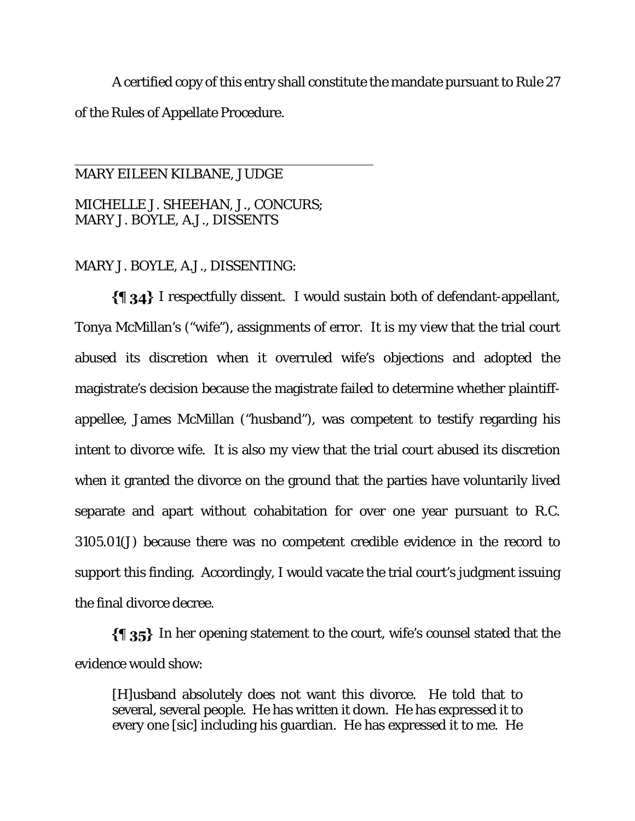A certified copy of this entry shall constitute the mandate pursuant to Rule 27 of the Rules of Appellate Procedure.

# MARY EILEEN KILBANE, JUDGE MICHELLE J. SHEEHAN, J., CONCURS; MARY J. BOYLE, A.J., DISSENTS

 $\overline{a}$ 

# MARY J. BOYLE, A.J., DISSENTING:

 $\{\{\}\$  34} I respectfully dissent. I would sustain both of defendant-appellant, Tonya McMillan's ("wife"), assignments of error. It is my view that the trial court abused its discretion when it overruled wife's objections and adopted the magistrate's decision because the magistrate failed to determine whether plaintiffappellee, James McMillan ("husband"), was competent to testify regarding his intent to divorce wife. It is also my view that the trial court abused its discretion when it granted the divorce on the ground that the parties have voluntarily lived separate and apart without cohabitation for over one year pursuant to R.C. 3105.01(J) because there was no competent credible evidence in the record to support this finding. Accordingly, I would vacate the trial court's judgment issuing the final divorce decree.

 $\{\{\}\$  35} In her opening statement to the court, wife's counsel stated that the evidence would show:

[H]usband absolutely does not want this divorce. He told that to several, several people. He has written it down. He has expressed it to every one [sic] including his guardian. He has expressed it to me. He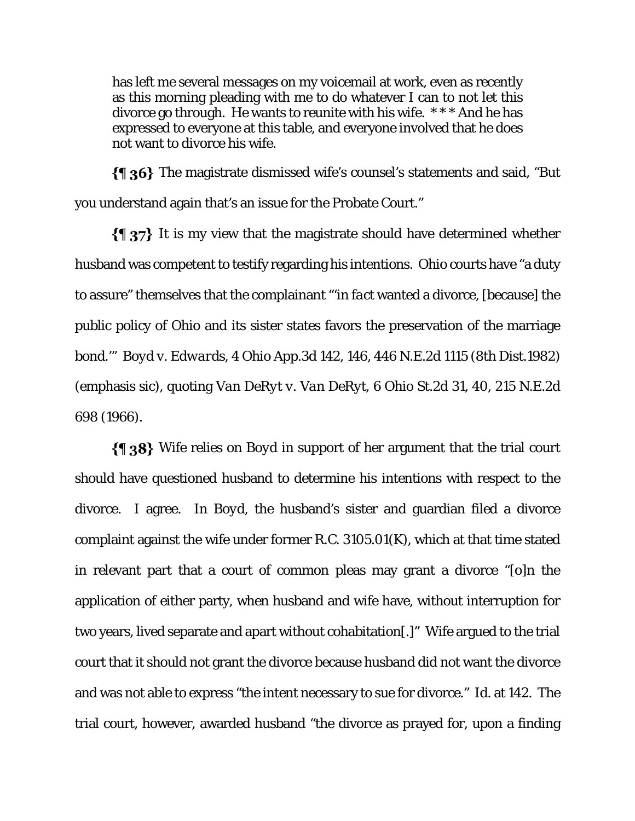has left me several messages on my voicemail at work, even as recently as this morning pleading with me to do whatever I can to not let this divorce go through. He wants to reunite with his wife. \* \* \* And he has expressed to everyone at this table, and everyone involved that he does not want to divorce his wife.

The magistrate dismissed wife's counsel's statements and said, "But you understand again that's an issue for the Probate Court."

 $\{\P\$  37} It is my view that the magistrate should have determined whether husband was competent to testify regarding his intentions. Ohio courts have "a duty to assure" themselves that the complainant "'*in fact* wanted a divorce, [because] the public policy of Ohio and its sister states favors the preservation of the marriage bond.'" *Boyd v. Edwards*, 4 Ohio App.3d 142, 146, 446 N.E.2d 1115 (8th Dist.1982) (emphasis sic), quoting *Van DeRyt v. Van DeRyt*, 6 Ohio St.2d 31, 40, 215 N.E.2d 698 (1966).

Wife relies on *Boyd* in support of her argument that the trial court should have questioned husband to determine his intentions with respect to the divorce. I agree. In *Boyd*, the husband's sister and guardian filed a divorce complaint against the wife under former R.C. 3105.01(K), which at that time stated in relevant part that a court of common pleas may grant a divorce "[o]n the application of either party, when husband and wife have, without interruption for two years, lived separate and apart without cohabitation[.]" Wife argued to the trial court that it should not grant the divorce because husband did not want the divorce and was not able to express "the intent necessary to sue for divorce." *Id.* at 142. The trial court, however, awarded husband "the divorce as prayed for, upon a finding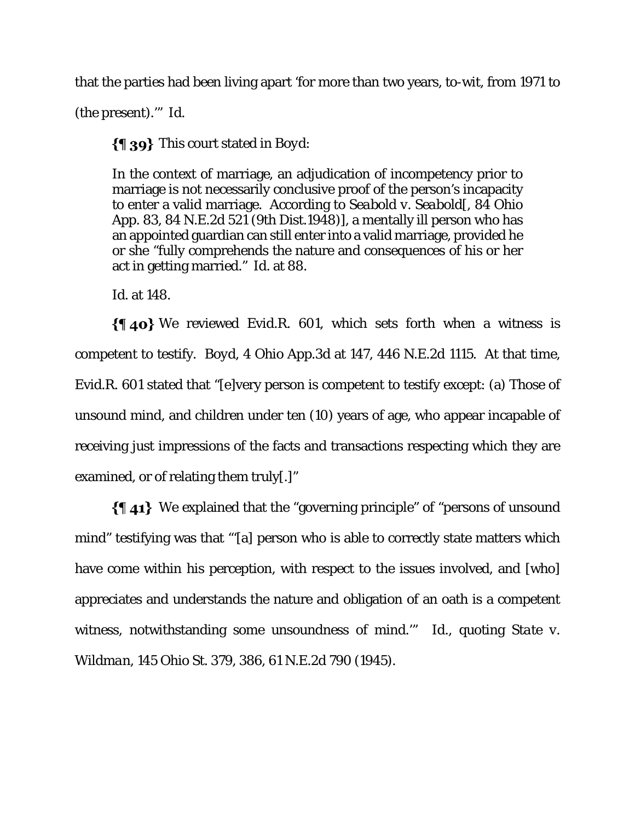that the parties had been living apart 'for more than two years, to-wit, from 1971 to

(the present).'" *Id.*

This court stated in *Boyd*:

In the context of marriage, an adjudication of incompetency prior to marriage is not necessarily conclusive proof of the person's incapacity to enter a valid marriage. According to *Seabold v. Seabold*[, 84 Ohio App. 83, 84 N.E.2d 521 (9th Dist.1948)], a mentally ill person who has an appointed guardian can still enter into a valid marriage, provided he or she "fully comprehends the nature and consequences of his or her act in getting married." *Id*. at 88.

*Id.* at 148.

 $\{\P \text{ 40} \}$  We reviewed Evid.R. 601, which sets forth when a witness is competent to testify. *Boyd*, 4 Ohio App.3d at 147, 446 N.E.2d 1115. At that time, Evid.R. 601 stated that "[e]very person is competent to testify except: (a) Those of unsound mind, and children under ten (10) years of age, who appear incapable of receiving just impressions of the facts and transactions respecting which they are examined, or of relating them truly[.]"

We explained that the "governing principle" of "persons of unsound mind" testifying was that "'[a] person who is able to correctly state matters which have come within his perception, with respect to the issues involved, and [who] appreciates and understands the nature and obligation of an oath is a competent witness, notwithstanding some unsoundness of mind.'" *Id*., quoting *State v. Wildman*, 145 Ohio St. 379, 386, 61 N.E.2d 790 (1945).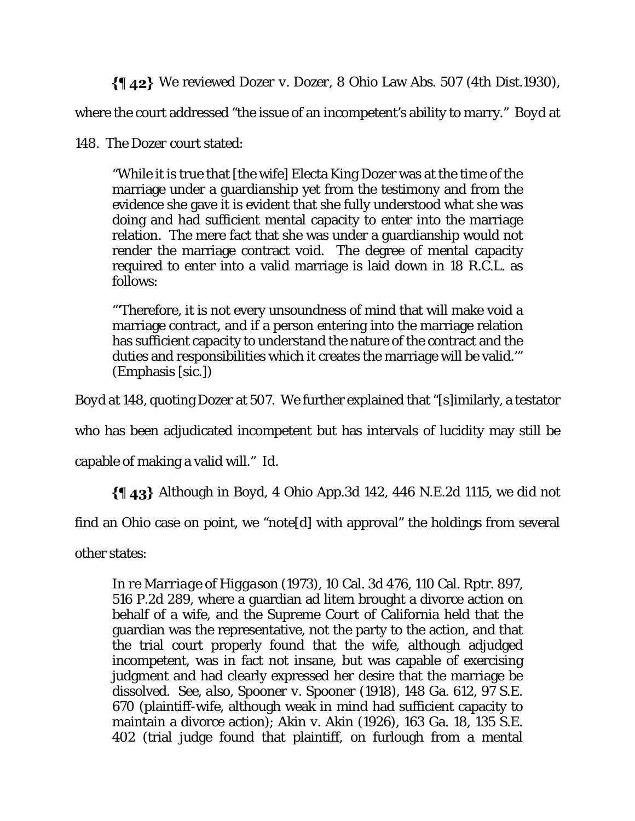We reviewed *Dozer v. Dozer*, 8 Ohio Law Abs. 507 (4th Dist.1930),

where the court addressed "the issue of an incompetent's ability to marry." *Boyd* at

148. The *Dozer* court stated:

"While it is true that [the wife] Electa King Dozer was at the time of the marriage under a guardianship yet from the testimony and from the evidence she gave it is evident that she fully understood what she was doing and had sufficient mental capacity to enter into the marriage relation. The mere fact that she was under a guardianship would not render the marriage contract void. The degree of mental capacity required to enter into a valid marriage is laid down in 18 R.C.L. as follows:

"'Therefore, it is not every unsoundness of mind that will make void a marriage contract, and if a person entering into the marriage relation has sufficient capacity to understand the nature of the contract and the duties and responsibilities which it creates the marriage will be valid.'" (Emphasis [sic.])

*Boyd* at 148, quoting *Dozer* at 507. We further explained that "[s]imilarly, a testator

who has been adjudicated incompetent but has intervals of lucidity may still be

capable of making a valid will." *Id*.

Although in *Boyd*, 4 Ohio App.3d 142, 446 N.E.2d 1115, we did not

find an Ohio case on point, we "note[d] with approval" the holdings from several

other states:

*In re Marriage of Higgason* (1973), 10 Cal. 3d 476, 110 Cal. Rptr. 897, 516 P.2d 289, where a guardian ad litem brought a divorce action on behalf of a wife, and the Supreme Court of California held that the guardian was the representative, not the party to the action, and that the trial court properly found that the wife, although adjudged incompetent, was in fact not insane, but was capable of exercising judgment and had clearly expressed her desire that the marriage be dissolved. *See*, *also*, *Spooner v. Spooner* (1918), 148 Ga. 612, 97 S.E. 670 (plaintiff-wife, although weak in mind had sufficient capacity to maintain a divorce action); *Akin v. Akin* (1926), 163 Ga. 18, 135 S.E. 402 (trial judge found that plaintiff, on furlough from a mental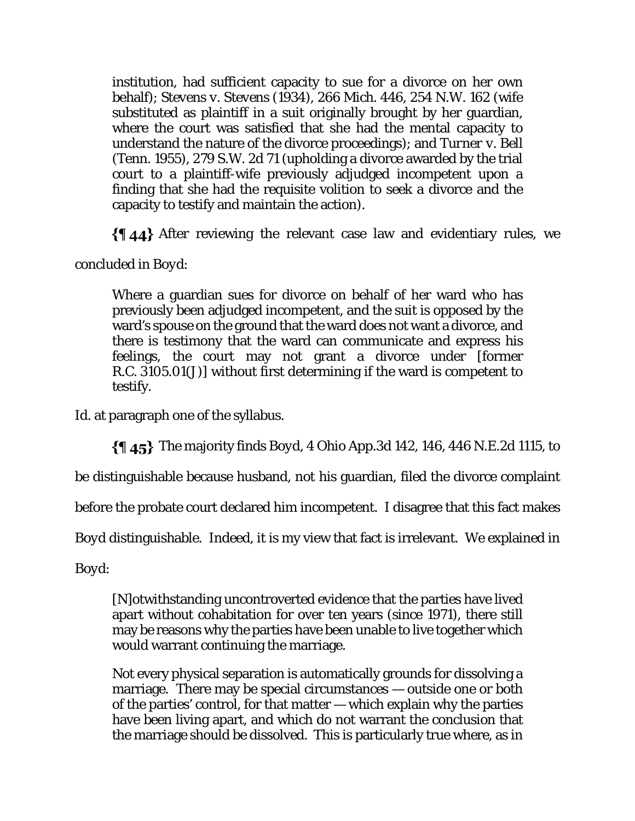institution, had sufficient capacity to sue for a divorce on her own behalf); *Stevens v. Stevens* (1934), 266 Mich. 446, 254 N.W. 162 (wife substituted as plaintiff in a suit originally brought by her guardian, where the court was satisfied that she had the mental capacity to understand the nature of the divorce proceedings); and *Turner v. Bell*  (Tenn. 1955), 279 S.W. 2d 71 (upholding a divorce awarded by the trial court to a plaintiff-wife previously adjudged incompetent upon a finding that she had the requisite volition to seek a divorce and the capacity to testify and maintain the action).

After reviewing the relevant case law and evidentiary rules, we

concluded in *Boyd*:

Where a guardian sues for divorce on behalf of her ward who has previously been adjudged incompetent, and the suit is opposed by the ward's spouse on the ground that the ward does not want a divorce, and there is testimony that the ward can communicate and express his feelings, the court may not grant a divorce under [former R.C. 3105.01(J)] without first determining if the ward is competent to testify.

*Id.* at paragraph one of the syllabus.

The majority finds *Boyd*, 4 Ohio App.3d 142, 146, 446 N.E.2d 1115, to

be distinguishable because husband, not his guardian, filed the divorce complaint

before the probate court declared him incompetent. I disagree that this fact makes

*Boyd* distinguishable. Indeed, it is my view that fact is irrelevant. We explained in

*Boyd*:

[N]otwithstanding uncontroverted evidence that the parties have lived apart without cohabitation for over ten years (since 1971), there still may be reasons why the parties have been unable to live together which would warrant continuing the marriage.

Not every physical separation is automatically grounds for dissolving a marriage. There may be special circumstances — outside one or both of the parties' control, for that matter — which explain why the parties have been living apart, and which do not warrant the conclusion that the marriage should be dissolved. This is particularly true where, as in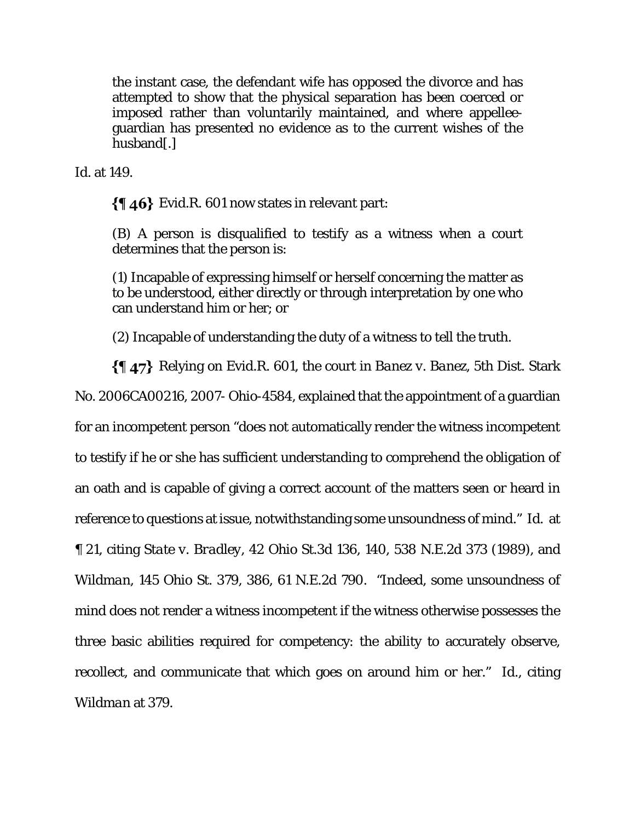the instant case, the defendant wife has opposed the divorce and has attempted to show that the physical separation has been coerced or imposed rather than voluntarily maintained, and where appelleeguardian has presented no evidence as to the current wishes of the husband[.]

*Id.* at 149.

 $\{\$\,46\}$  Evid.R. 601 now states in relevant part:

(B) A person is disqualified to testify as a witness when a court determines that the person is:

(1) Incapable of expressing himself or herself concerning the matter as to be understood, either directly or through interpretation by one who can understand him or her; or

(2) Incapable of understanding the duty of a witness to tell the truth.

Relying on Evid.R. 601, the court in *Banez v. Banez*, 5th Dist. Stark No. 2006CA00216, 2007- Ohio-4584, explained that the appointment of a guardian for an incompetent person "does not automatically render the witness incompetent to testify if he or she has sufficient understanding to comprehend the obligation of an oath and is capable of giving a correct account of the matters seen or heard in reference to questions at issue, notwithstanding some unsoundness of mind." *Id*. at ¶ 21, citing *State v. Bradley*, 42 Ohio St.3d 136, 140, 538 N.E.2d 373 (1989), and *Wildman*, 145 Ohio St. 379, 386, 61 N.E.2d 790. "Indeed, some unsoundness of mind does not render a witness incompetent if the witness otherwise possesses the three basic abilities required for competency: the ability to accurately observe, recollect, and communicate that which goes on around him or her." *Id*., citing *Wildman* at 379.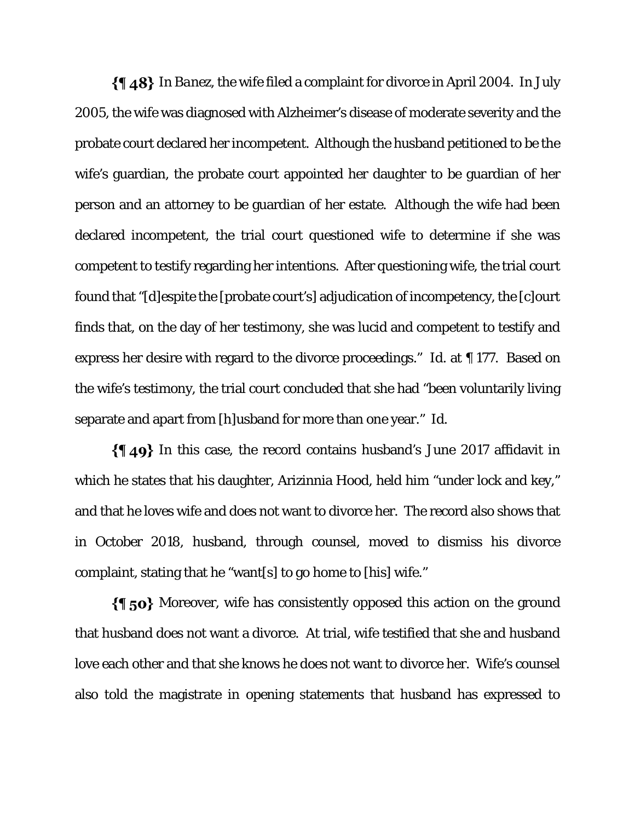In *Banez*, the wife filed a complaint for divorce in April 2004. In July 2005, the wife was diagnosed with Alzheimer's disease of moderate severity and the probate court declared her incompetent. Although the husband petitioned to be the wife's guardian, the probate court appointed her daughter to be guardian of her person and an attorney to be guardian of her estate. Although the wife had been declared incompetent, the trial court questioned wife to determine if she was competent to testify regarding her intentions. After questioning wife, the trial court found that "[d]espite the [probate court's] adjudication of incompetency, the [c]ourt finds that, on the day of her testimony, she was lucid and competent to testify and express her desire with regard to the divorce proceedings." *Id*. at ¶ 177. Based on the wife's testimony, the trial court concluded that she had "been voluntarily living separate and apart from [h]usband for more than one year." *Id*.

 $\{\{\,\,\,\,\,\,\}\$  In this case, the record contains husband's June 2017 affidavit in which he states that his daughter, Arizinnia Hood, held him "under lock and key," and that he loves wife and does not want to divorce her. The record also shows that in October 2018, husband, through counsel, moved to dismiss his divorce complaint, stating that he "want[s] to go home to [his] wife."

 $\{\P$  50} Moreover, wife has consistently opposed this action on the ground that husband does not want a divorce. At trial, wife testified that she and husband love each other and that she knows he does not want to divorce her. Wife's counsel also told the magistrate in opening statements that husband has expressed to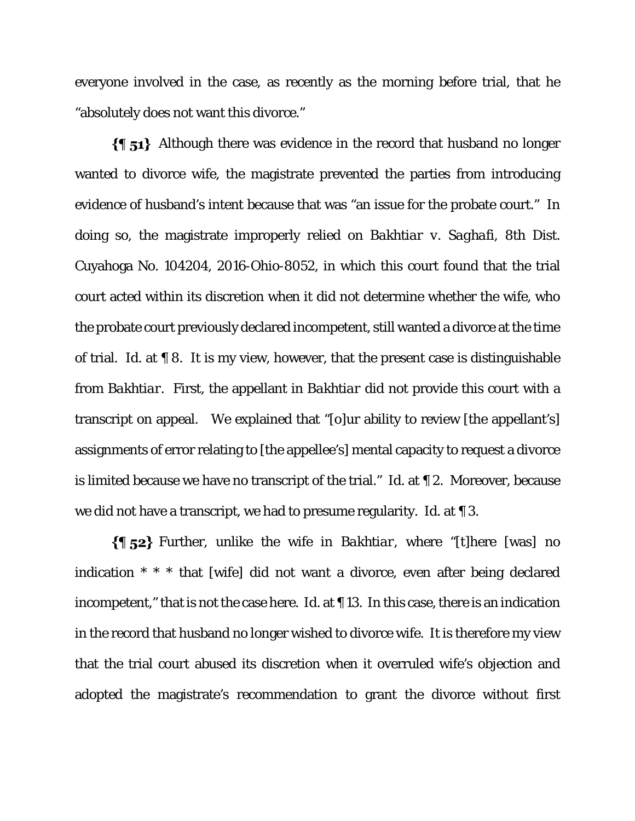everyone involved in the case, as recently as the morning before trial, that he "absolutely does not want this divorce."

 $\{\P 51\}$  Although there was evidence in the record that husband no longer wanted to divorce wife, the magistrate prevented the parties from introducing evidence of husband's intent because that was "an issue for the probate court." In doing so, the magistrate improperly relied on *Bakhtiar v. Saghafi*, 8th Dist. Cuyahoga No. 104204, 2016-Ohio-8052, in which this court found that the trial court acted within its discretion when it did not determine whether the wife, who the probate court previously declared incompetent, still wanted a divorce at the time of trial. *Id*. at ¶ 8. It is my view, however, that the present case is distinguishable from *Bakhtiar*. First, the appellant in *Bakhtiar* did not provide this court with a transcript on appeal. We explained that "[o]ur ability to review [the appellant's] assignments of error relating to [the appellee's] mental capacity to request a divorce is limited because we have no transcript of the trial." *Id*. at ¶ 2. Moreover, because we did not have a transcript, we had to presume regularity. *Id*. at ¶ 3.

Further, unlike the wife in *Bakhtiar*, where "[t]here [was] no indication \* \* \* that [wife] did not want a divorce, even after being declared incompetent," that is not the case here. *Id*. at ¶ 13. In this case, there is an indication in the record that husband no longer wished to divorce wife. It is therefore my view that the trial court abused its discretion when it overruled wife's objection and adopted the magistrate's recommendation to grant the divorce without first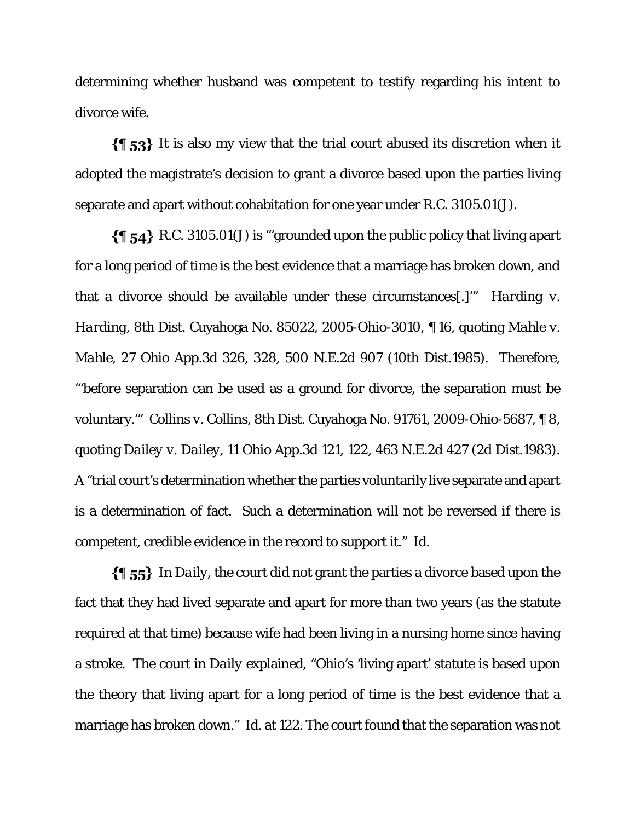determining whether husband was competent to testify regarding his intent to divorce wife.

 $\{\{\,\,\,\}_{53}\}$  It is also my view that the trial court abused its discretion when it adopted the magistrate's decision to grant a divorce based upon the parties living separate and apart without cohabitation for one year under R.C. 3105.01(J).

 $\{\{\}$  54} R.C. 3105.01(J) is "grounded upon the public policy that living apart for a long period of time is the best evidence that a marriage has broken down, and that a divorce should be available under these circumstances[.]'" *Harding v. Harding*, 8th Dist. Cuyahoga No. 85022, 2005-Ohio-3010, ¶ 16, quoting *Mahle v. Mahle*, 27 Ohio App.3d 326, 328, 500 N.E.2d 907 (10th Dist.1985). Therefore, "'before separation can be used as a ground for divorce, the separation must be voluntary.'" *Collins v. Collins*, 8th Dist. Cuyahoga No. 91761, 2009-Ohio-5687, ¶ 8, quoting *Dailey v. Dailey*, 11 Ohio App.3d 121, 122, 463 N.E.2d 427 (2d Dist.1983). A "trial court's determination whether the parties voluntarily live separate and apart is a determination of fact. Such a determination will not be reversed if there is competent, credible evidence in the record to support it." *Id*.

In *Daily*, the court did not grant the parties a divorce based upon the fact that they had lived separate and apart for more than two years (as the statute required at that time) because wife had been living in a nursing home since having a stroke. The court in *Daily* explained, "Ohio's 'living apart' statute is based upon the theory that living apart for a long period of time is the best evidence that a marriage has broken down." *Id*. at 122. The court found that the separation was not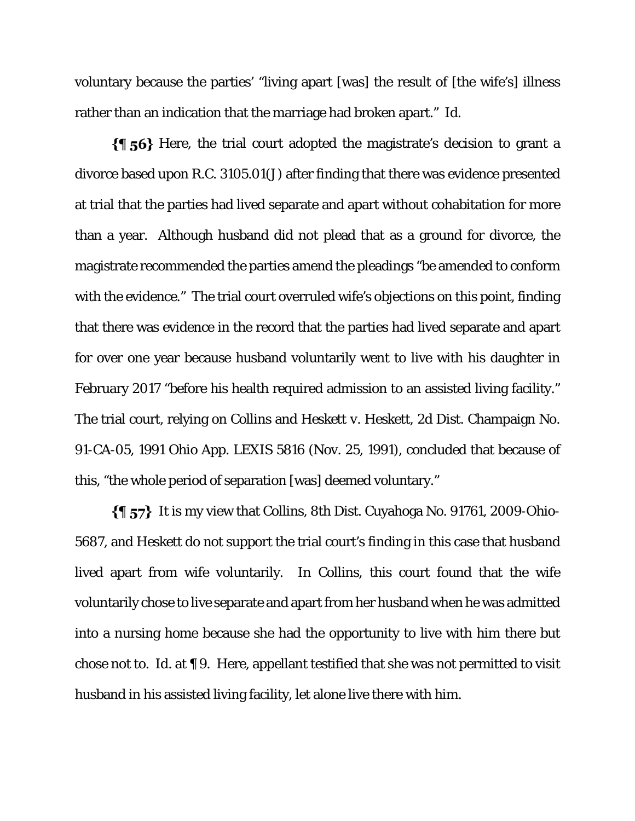voluntary because the parties' "living apart [was] the result of [the wife's] illness rather than an indication that the marriage had broken apart." *Id*.

 $\{\{\}$  56} Here, the trial court adopted the magistrate's decision to grant a divorce based upon R.C. 3105.01(J) after finding that there was evidence presented at trial that the parties had lived separate and apart without cohabitation for more than a year. Although husband did not plead that as a ground for divorce, the magistrate recommended the parties amend the pleadings "be amended to conform with the evidence." The trial court overruled wife's objections on this point, finding that there was evidence in the record that the parties had lived separate and apart for over one year because husband voluntarily went to live with his daughter in February 2017 "before his health required admission to an assisted living facility." The trial court, relying on *Collins* and *Heskett v. Heskett*, 2d Dist. Champaign No. 91-CA-05, 1991 Ohio App. LEXIS 5816 (Nov. 25, 1991), concluded that because of this, "the whole period of separation [was] deemed voluntary."

It is my view that *Collins*, 8th Dist. Cuyahoga No. 91761, 2009-Ohio-5687, and *Heskett* do not support the trial court's finding in this case that husband lived apart from wife voluntarily. In *Collins*, this court found that the wife voluntarily chose to live separate and apart from her husband when he was admitted into a nursing home because she had the opportunity to live with him there but chose not to. *Id.* at ¶ 9. Here, appellant testified that she was not permitted to visit husband in his assisted living facility, let alone live there with him.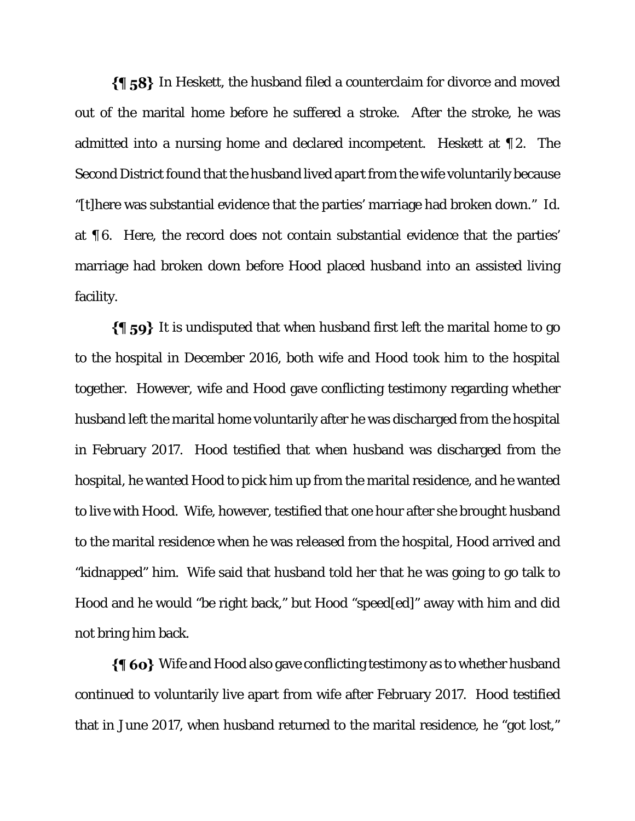In *Heskett*, the husband filed a counterclaim for divorce and moved out of the marital home before he suffered a stroke. After the stroke, he was admitted into a nursing home and declared incompetent. *Heskett* at ¶ 2. The Second District found that the husband lived apart from the wife voluntarily because "[t]here was substantial evidence that the parties' marriage had broken down." *Id.*  at ¶ 6. Here, the record does not contain substantial evidence that the parties' marriage had broken down before Hood placed husband into an assisted living facility.

 $\{\{\}\$  59} It is undisputed that when husband first left the marital home to go to the hospital in December 2016, both wife and Hood took him to the hospital together. However, wife and Hood gave conflicting testimony regarding whether husband left the marital home voluntarily after he was discharged from the hospital in February 2017. Hood testified that when husband was discharged from the hospital, he wanted Hood to pick him up from the marital residence, and he wanted to live with Hood. Wife, however, testified that one hour after she brought husband to the marital residence when he was released from the hospital, Hood arrived and "kidnapped" him. Wife said that husband told her that he was going to go talk to Hood and he would "be right back," but Hood "speed[ed]" away with him and did not bring him back.

 $\{\P 60\}$  Wife and Hood also gave conflicting testimony as to whether husband continued to voluntarily live apart from wife after February 2017. Hood testified that in June 2017, when husband returned to the marital residence, he "got lost,"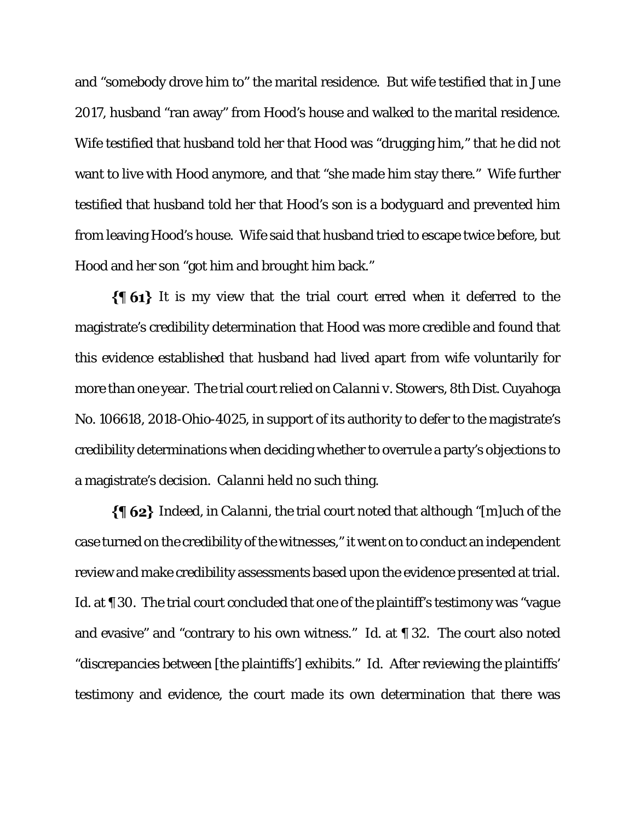and "somebody drove him to" the marital residence. But wife testified that in June 2017, husband "ran away" from Hood's house and walked to the marital residence. Wife testified that husband told her that Hood was "drugging him," that he did not want to live with Hood anymore, and that "she made him stay there." Wife further testified that husband told her that Hood's son is a bodyguard and prevented him from leaving Hood's house. Wife said that husband tried to escape twice before, but Hood and her son "got him and brought him back."

 $\{ \{ 61 \}$  It is my view that the trial court erred when it deferred to the magistrate's credibility determination that Hood was more credible and found that this evidence established that husband had lived apart from wife voluntarily for more than one year. The trial court relied on *Calanni v. Stowers*, 8th Dist. Cuyahoga No. 106618, 2018-Ohio-4025, in support of its authority to defer to the magistrate's credibility determinations when deciding whether to overrule a party's objections to a magistrate's decision. *Calanni* held no such thing.

Indeed, in *Calanni*, the trial court noted that although "[m]uch of the case turned on the credibility of the witnesses," it went on to conduct an independent review and make credibility assessments based upon the evidence presented at trial. *Id.* at **[11.43]** 30. The trial court concluded that one of the plaintiff's testimony was "vague and evasive" and "contrary to his own witness." *Id*. at ¶ 32. The court also noted "discrepancies between [the plaintiffs'] exhibits." *Id*. After reviewing the plaintiffs' testimony and evidence, the court made its own determination that there was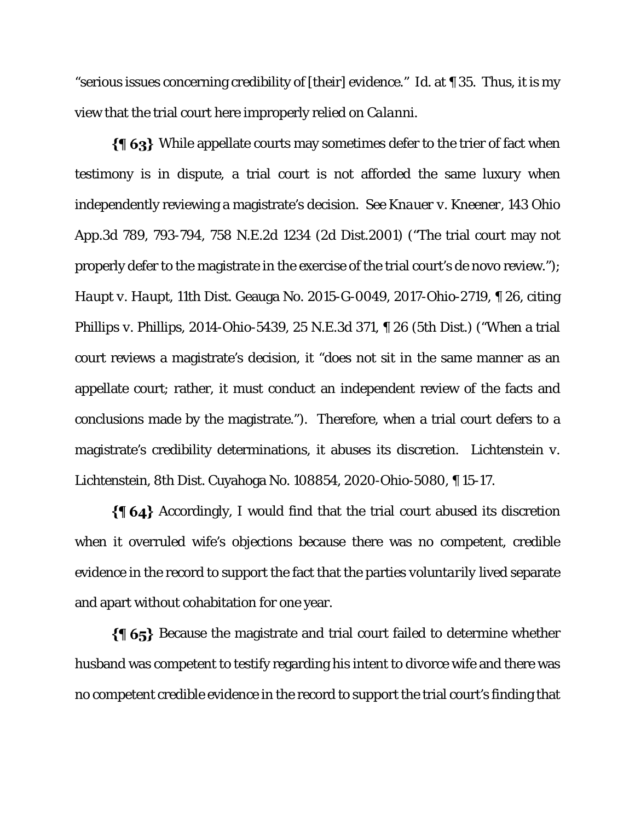"serious issues concerning credibility of [their] evidence." *Id*. at ¶ 35. Thus, it is my view that the trial court here improperly relied on *Calanni*.

While appellate courts may sometimes defer to the trier of fact when testimony is in dispute, a trial court is not afforded the same luxury when independently reviewing a magistrate's decision. *See Knauer v. Kneener*, 143 Ohio App.3d 789, 793-794, 758 N.E.2d 1234 (2d Dist.2001) ("The trial court may not properly defer to the magistrate in the exercise of the trial court's de novo review."); *Haupt v. Haupt*, 11th Dist. Geauga No. 2015-G-0049, 2017-Ohio-2719, ¶ 26, citing *Phillips v. Phillips*, 2014-Ohio-5439, 25 N.E.3d 371, ¶ 26 (5th Dist.) ("When a trial court reviews a magistrate's decision, it "does not sit in the same manner as an appellate court; rather, it must conduct an independent review of the facts and conclusions made by the magistrate."). Therefore, when a trial court defers to a magistrate's credibility determinations, it abuses its discretion. *Lichtenstein v. Lichtenstein*, 8th Dist. Cuyahoga No. 108854, 2020-Ohio-5080, ¶ 15-17.

 $\{\{\,\,\}\$ 64} Accordingly, I would find that the trial court abused its discretion when it overruled wife's objections because there was no competent, credible evidence in the record to support the fact that the parties *voluntarily* lived separate and apart without cohabitation for one year.

 $\{\{\,\,\}\,65\}$  Because the magistrate and trial court failed to determine whether husband was competent to testify regarding his intent to divorce wife and there was no competent credible evidence in the record to support the trial court's finding that